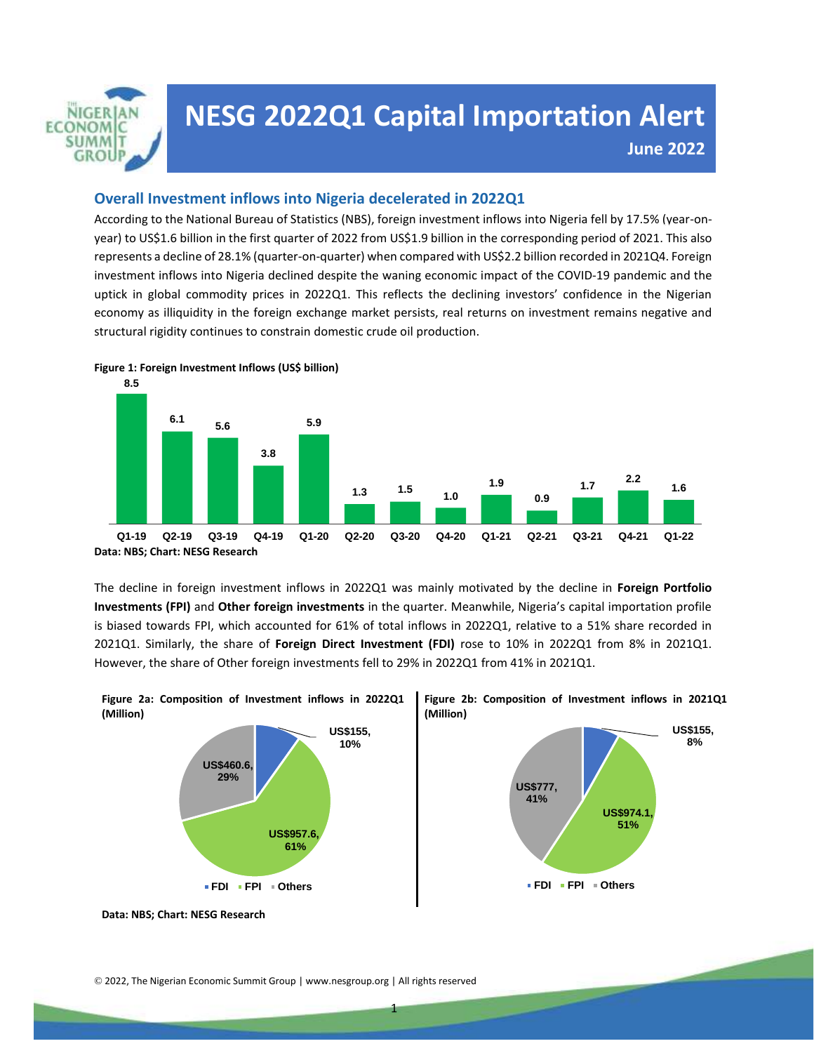

# © 2019, The Nigerian Economic Summit Group **June 2022NESG 2022Q1 Capital Importation Alert**

All Rights Reserved

## **Overall Investment inflows into Nigeria decelerated in 2022Q1**

According to the National Bureau of Statistics (NBS), foreign investment inflows into Nigeria fell by 17.5% (year-onyear) to US\$1.6 billion in the first quarter of 2022 from US\$1.9 billion in the corresponding period of 2021. This also represents a decline of 28.1% (quarter-on-quarter) when compared with US\$2.2 billion recorded in 2021Q4. Foreign investment inflows into Nigeria declined despite the waning economic impact of the COVID-19 pandemic and the uptick in global commodity prices in 2022Q1. This reflects the declining investors' confidence in the Nigerian economy as illiquidity in the foreign exchange market persists, real returns on investment remains negative and structural rigidity continues to constrain domestic crude oil production. *www.nesgroup.org/policy-briefs/*



The decline in foreign investment inflows in 2022Q1 was mainly motivated by the decline in **Foreign Portfolio Investments (FPI)** and **Other foreign investments** in the quarter. Meanwhile, Nigeria's capital importation profile is biased towards FPI, which accounted for 61% of total inflows in 2022Q1, relative to a 51% share recorded in 2021Q1. Similarly, the share of **Foreign Direct Investment (FDI)** rose to 10% in 2022Q1 from 8% in 2021Q1. However, the share of Other foreign investments fell to 29% in 2022Q1 from 41% in 2021Q1.



**Data: NBS; Chart: NESG Research**

© 2022, The Nigerian Economic Summit Group | www.nesgroup.org | All rights reserved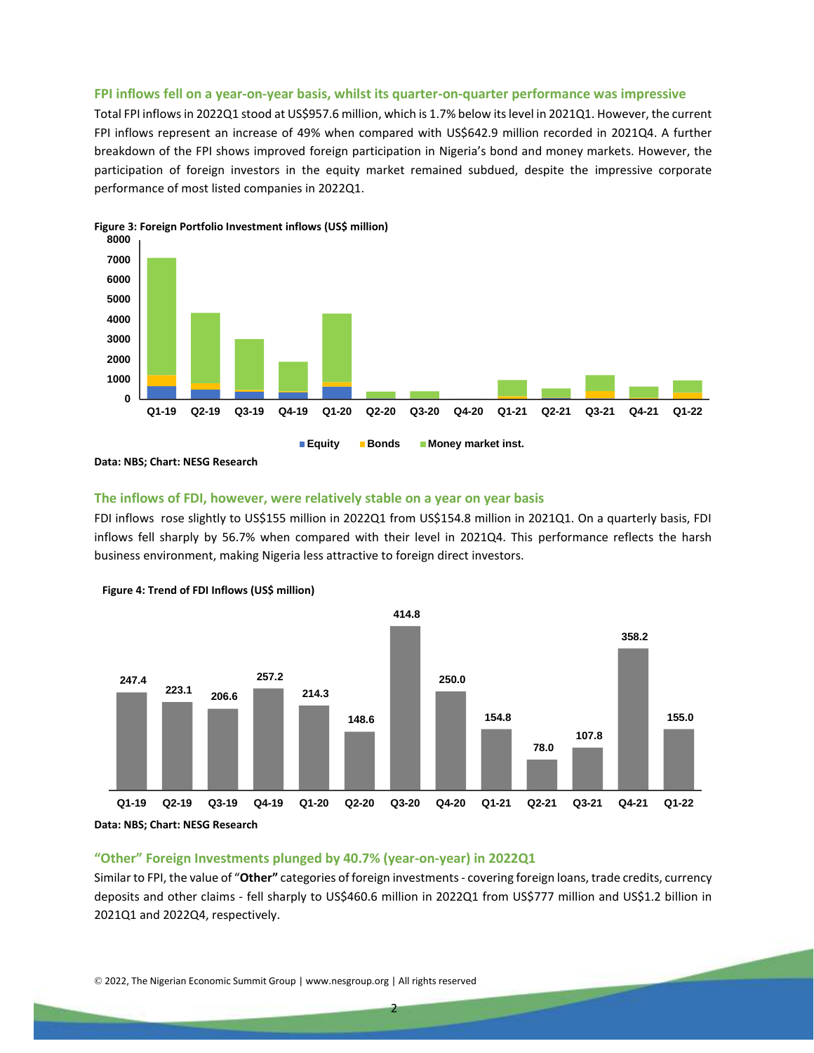#### **FPI inflows fell on a year-on-year basis, whilst its quarter-on-quarter performance was impressive**

Total FPI inflows in 2022Q1 stood at US\$957.6 million, which is 1.7% below its level in 2021Q1. However, the current FPI inflows represent an increase of 49% when compared with US\$642.9 million recorded in 2021Q4. A further breakdown of the FPI shows improved foreign participation in Nigeria's bond and money markets. However, the participation of foreign investors in the equity market remained subdued, despite the impressive corporate performance of most listed companies in 2022Q1.



**Figure 3: Foreign Portfolio Investment inflows (US\$ million)**

**Data: NBS; Chart: NESG Research**

# **The inflows of FDI, however, were relatively stable on a year on year basis**

FDI inflows rose slightly to US\$155 million in 2022Q1 from US\$154.8 million in 2021Q1. On a quarterly basis, FDI inflows fell sharply by 56.7% when compared with their level in 2021Q4. This performance reflects the harsh business environment, making Nigeria less attractive to foreign direct investors.





#### **"Other" Foreign Investments plunged by 40.7% (year-on-year) in 2022Q1**

Similar to FPI, the value of "**Other"** categories of foreign investments - covering foreign loans, trade credits, currency deposits and other claims - fell sharply to US\$460.6 million in 2022Q1 from US\$777 million and US\$1.2 billion in 2021Q1 and 2022Q4, respectively.

© 2022, The Nigerian Economic Summit Group | www.nesgroup.org | All rights reserved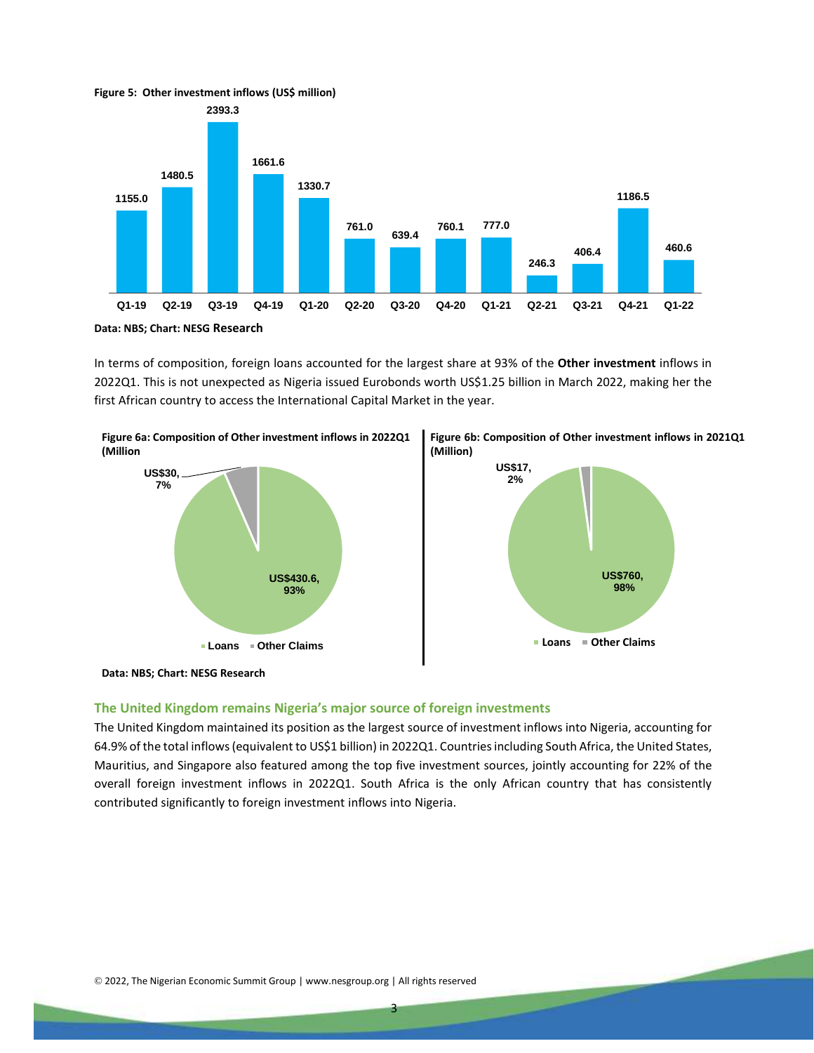

In terms of composition, foreign loans accounted for the largest share at 93% of the **Other investment** inflows in 2022Q1. This is not unexpected as Nigeria issued Eurobonds worth US\$1.25 billion in March 2022, making her the

first African country to access the International Capital Market in the year.







**Data: NBS; Chart: NESG Research**

#### **The United Kingdom remains Nigeria's major source of foreign investments**

The United Kingdom maintained its position as the largest source of investment inflows into Nigeria, accounting for 64.9% of the total inflows (equivalent to US\$1 billion) in 2022Q1. Countries including South Africa, the United States, Mauritius, and Singapore also featured among the top five investment sources, jointly accounting for 22% of the overall foreign investment inflows in 2022Q1. South Africa is the only African country that has consistently contributed significantly to foreign investment inflows into Nigeria.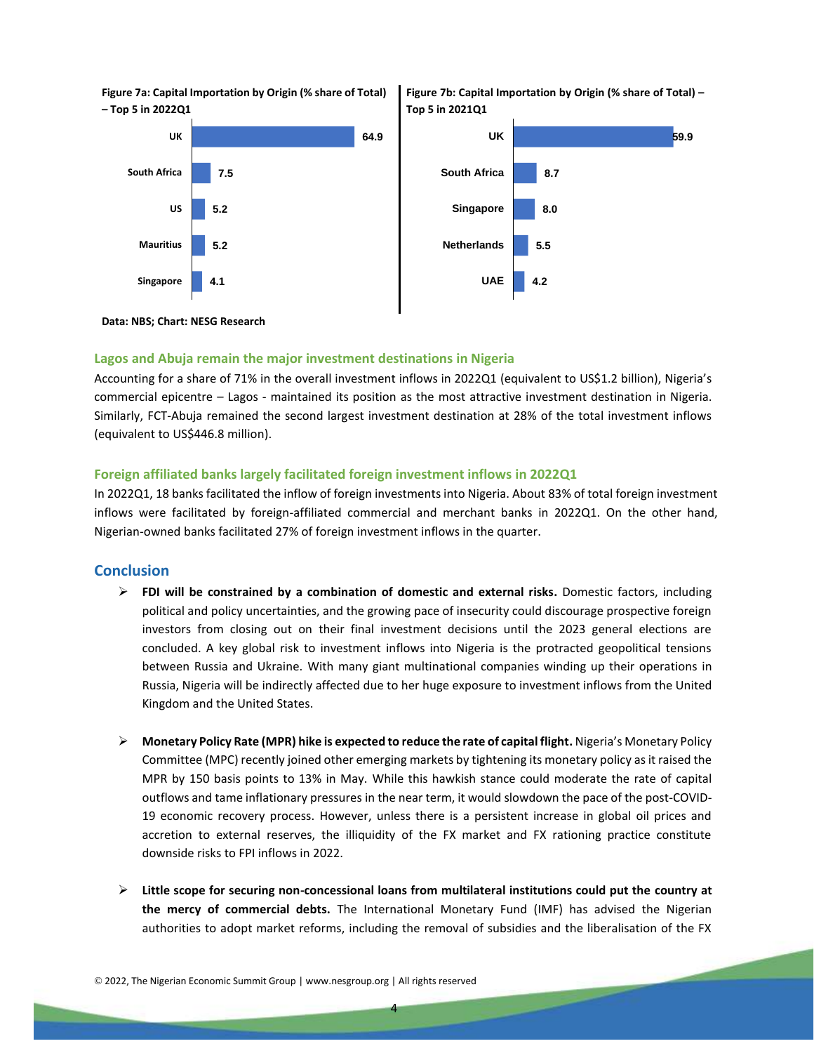**Figure 7a: Capital Importation by Origin (% share of Total) – Top 5 in 2022Q1**







#### **Data: NBS; Chart: NESG Research**

### **Lagos and Abuja remain the major investment destinations in Nigeria**

Accounting for a share of 71% in the overall investment inflows in 2022Q1 (equivalent to US\$1.2 billion), Nigeria's commercial epicentre – Lagos - maintained its position as the most attractive investment destination in Nigeria. Similarly, FCT-Abuja remained the second largest investment destination at 28% of the total investment inflows (equivalent to US\$446.8 million).

#### **Foreign affiliated banks largely facilitated foreign investment inflows in 2022Q1**

In 2022Q1, 18 banks facilitated the inflow of foreign investments into Nigeria. About 83% of total foreign investment inflows were facilitated by foreign-affiliated commercial and merchant banks in 2022Q1. On the other hand, Nigerian-owned banks facilitated 27% of foreign investment inflows in the quarter.

#### **Conclusion**

- **FDI will be constrained by a combination of domestic and external risks.** Domestic factors, including political and policy uncertainties, and the growing pace of insecurity could discourage prospective foreign investors from closing out on their final investment decisions until the 2023 general elections are concluded. A key global risk to investment inflows into Nigeria is the protracted geopolitical tensions between Russia and Ukraine. With many giant multinational companies winding up their operations in Russia, Nigeria will be indirectly affected due to her huge exposure to investment inflows from the United Kingdom and the United States.
- **Monetary Policy Rate (MPR) hike is expected to reduce the rate of capital flight.** Nigeria's Monetary Policy Committee (MPC) recently joined other emerging markets by tightening its monetary policy as it raised the MPR by 150 basis points to 13% in May. While this hawkish stance could moderate the rate of capital outflows and tame inflationary pressures in the near term, it would slowdown the pace of the post-COVID-19 economic recovery process. However, unless there is a persistent increase in global oil prices and accretion to external reserves, the illiquidity of the FX market and FX rationing practice constitute downside risks to FPI inflows in 2022.
- **Little scope for securing non-concessional loans from multilateral institutions could put the country at the mercy of commercial debts.** The International Monetary Fund (IMF) has advised the Nigerian authorities to adopt market reforms, including the removal of subsidies and the liberalisation of the FX

<sup>©</sup> 2022, The Nigerian Economic Summit Group | www.nesgroup.org | All rights reserved